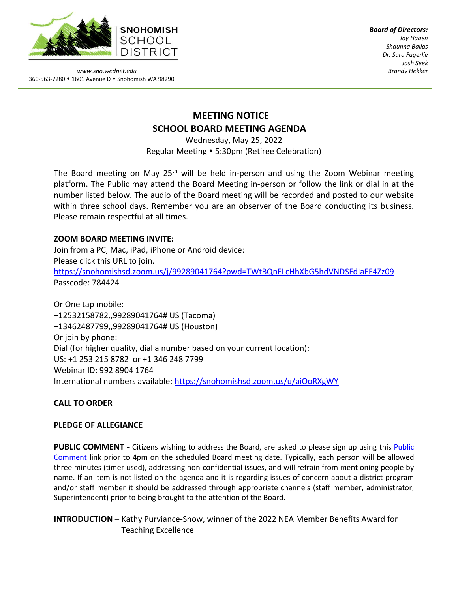

*Board of Directors: Jay Hagen Shaunna Ballas Dr. Sara Fagerlie Josh Seek Brandy Hekker*

*www.sno.wednet.edu* 360-563-7280 • 1601 Avenue D • Snohomish WA 98290

# **MEETING NOTICE SCHOOL BOARD MEETING AGENDA**

Wednesday, May 25, 2022 Regular Meeting 5:30pm (Retiree Celebration)

The Board meeting on May  $25<sup>th</sup>$  will be held in-person and using the Zoom Webinar meeting platform. The Public may attend the Board Meeting in-person or follow the link or dial in at the number listed below. The audio of the Board meeting will be recorded and posted to our website within three school days. Remember you are an observer of the Board conducting its business. Please remain respectful at all times.

## **ZOOM BOARD MEETING INVITE:**

Join from a PC, Mac, iPad, iPhone or Android device: Please click this URL to join. <https://snohomishsd.zoom.us/j/99289041764?pwd=TWtBQnFLcHhXbG5hdVNDSFdIaFF4Zz09> Passcode: 784424

Or One tap mobile: +12532158782,,99289041764# US (Tacoma) +13462487799,,99289041764# US (Houston) Or join by phone: Dial (for higher quality, dial a number based on your current location): US: +1 253 215 8782 or +1 346 248 7799 Webinar ID: 992 8904 1764 International numbers available:<https://snohomishsd.zoom.us/u/aiOoRXgWY>

## **CALL TO ORDER**

## **PLEDGE OF ALLEGIANCE**

**PUBLIC COMMENT -** Citizens wishing to address the Board, are asked to please sign up using this [Public](https://www.sno.wednet.edu/site/Default.aspx?PageID=5004) [Comment](https://www.sno.wednet.edu/site/Default.aspx?PageID=5004) link prior to 4pm on the scheduled Board meeting date. Typically, each person will be allowed three minutes (timer used), addressing non-confidential issues, and will refrain from mentioning people by name. If an item is not listed on the agenda and it is regarding issues of concern about a district program and/or staff member it should be addressed through appropriate channels (staff member, administrator, Superintendent) prior to being brought to the attention of the Board.

**INTRODUCTION –** Kathy Purviance-Snow, winner of the 2022 NEA Member Benefits Award for Teaching Excellence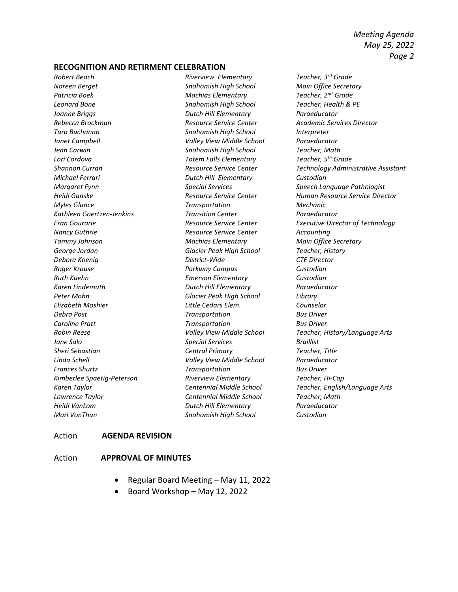*Meeting Agenda May 25, 2022 Page 2*

#### **RECOGNITION AND RETIRMENT CELEBRATION**

*Robert Beach Riverview Elementary Teacher, 3rd Grade Noreen Berget Snohomish High School Main Office Secretary Patricia Boek Machias Elementary Teacher, 2nd Grade Leonard Bone Snohomish High School Teacher, Health & PE Joanne Briggs Dutch Hill Elementary Paraeducator Rebecca Brockman Resource Service Center Academic Services Director Tara Buchanan Snohomish High School Interpreter Janet Campbell Valley View Middle School Paraeducator Jean Carwin Snohomish High School Teacher, Math Lori Cordova Totem Falls Elementary Teacher, 5th Grade Michael Ferrari Dutch Hill Elementary Custodian Myles Glance Transportation Mechanic Kathleen Goertzen-Jenkins Transition Center Paraeducator Nancy Guthrie Resource Service Center Accounting Tammy Johnson Machias Elementary Main Office Secretary George Jordan Glacier Peak High School Teacher, History Debora Koenig District-Wide CTE Director Roger Krause Parkway Campus Custodian Ruth Kuehn Emerson Elementary Custodian Karen Lindemuth Dutch Hill Elementary Paraeducator Peter Mohn Glacier Peak High School Library Elizabeth Moshier Little Cedars Elem. Counselor Debra Post Transportation Bus Driver Caroline Pratt Transportation Bus Driver Jane Salo Special Services Braillist Sheri Sebastian Central Primary Teacher, Title Linda Schell Valley View Middle School Paraeducator Frances Shurtz Transportation Bus Driver Kimberlee Spaetig-Peterson Riverview Elementary Teacher, Hi-Cap Lawrence Taylor Centennial Middle School Teacher, Math Heidi VanLom Dutch Hill Elementary Paraeducator Mari VonThun Snohomish High School Custodian*

*Shannon Curran Resource Service Center Technology Administrative Assistant Margaret Fynn Special Services Speech Language Pathologist Heidi Ganske Resource Service Center Human Resource Service Director Eran Gourarie Resource Service Center Executive Director of Technology Robin Reese Valley View Middle School Teacher, History/Language Arts Karen Taylor Centennial Middle School Teacher, English/Language Arts*

#### Action **AGENDA REVISION**

#### Action **APPROVAL OF MINUTES**

- Regular Board Meeting May 11, 2022
- Board Workshop May 12, 2022